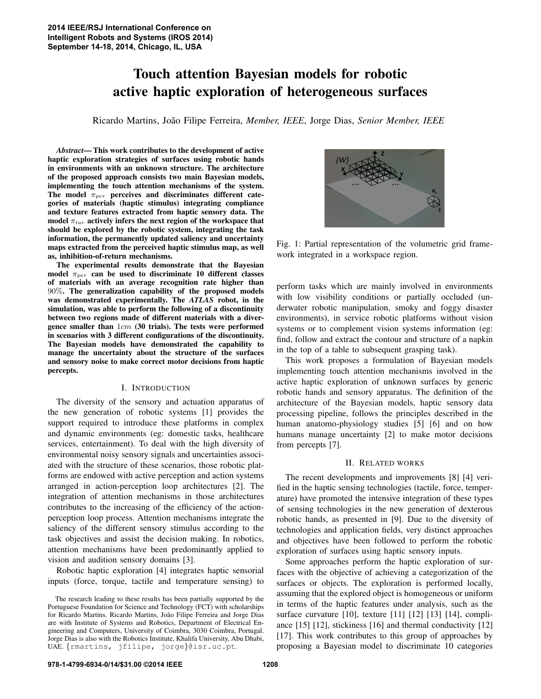# Touch attention Bayesian models for robotic active haptic exploration of heterogeneous surfaces

Ricardo Martins, Joao Filipe Ferreira, ˜ *Member, IEEE*, Jorge Dias, *Senior Member, IEEE*

*Abstract*— This work contributes to the development of active haptic exploration strategies of surfaces using robotic hands in environments with an unknown structure. The architecture of the proposed approach consists two main Bayesian models, implementing the touch attention mechanisms of the system. The model  $\pi_{per}$  perceives and discriminates different categories of materials (haptic stimulus) integrating compliance and texture features extracted from haptic sensory data. The model  $\pi_{tar}$  actively infers the next region of the workspace that should be explored by the robotic system, integrating the task information, the permanently updated saliency and uncertainty maps extracted from the perceived haptic stimulus map, as well as, inhibition-of-return mechanisms.

The experimental results demonstrate that the Bayesian model  $\pi_{per}$  can be used to discriminate 10 different classes of materials with an average recognition rate higher than 90%. The generalization capability of the proposed models was demonstrated experimentally. The *ATLAS* robot, in the simulation, was able to perform the following of a discontinuity between two regions made of different materials with a divergence smaller than 1cm (30 trials). The tests were performed in scenarios with 3 different configurations of the discontinuity. The Bayesian models have demonstrated the capability to manage the uncertainty about the structure of the surfaces and sensory noise to make correct motor decisions from haptic percepts.

### I. INTRODUCTION

The diversity of the sensory and actuation apparatus of the new generation of robotic systems [1] provides the support required to introduce these platforms in complex and dynamic environments (eg: domestic tasks, healthcare services, entertainment). To deal with the high diversity of environmental noisy sensory signals and uncertainties associated with the structure of these scenarios, those robotic platforms are endowed with active perception and action systems arranged in action-perception loop architectures [2]. The integration of attention mechanisms in those architectures contributes to the increasing of the efficiency of the actionperception loop process. Attention mechanisms integrate the saliency of the different sensory stimulus according to the task objectives and assist the decision making. In robotics, attention mechanisms have been predominantly applied to vision and audition sensory domains [3].

Robotic haptic exploration [4] integrates haptic sensorial inputs (force, torque, tactile and temperature sensing) to



Fig. 1: Partial representation of the volumetric grid framework integrated in a workspace region.

perform tasks which are mainly involved in environments with low visibility conditions or partially occluded (underwater robotic manipulation, smoky and foggy disaster environments), in service robotic platforms without vision systems or to complement vision systems information (eg: find, follow and extract the contour and structure of a napkin in the top of a table to subsequent grasping task).

This work proposes a formulation of Bayesian models implementing touch attention mechanisms involved in the active haptic exploration of unknown surfaces by generic robotic hands and sensory apparatus. The definition of the architecture of the Bayesian models, haptic sensory data processing pipeline, follows the principles described in the human anatomo-physiology studies [5] [6] and on how humans manage uncertainty [2] to make motor decisions from percepts [7].

### II. RELATED WORKS

The recent developments and improvements [8] [4] verified in the haptic sensing technologies (tactile, force, temperature) have promoted the intensive integration of these types of sensing technologies in the new generation of dexterous robotic hands, as presented in [9]. Due to the diversity of technologies and application fields, very distinct approaches and objectives have been followed to perform the robotic exploration of surfaces using haptic sensory inputs.

Some approaches perform the haptic exploration of surfaces with the objective of achieving a categorization of the surfaces or objects. The exploration is performed locally, assuming that the explored object is homogeneous or uniform in terms of the haptic features under analysis, such as the surface curvature [10], texture [11] [12] [13] [14], compliance [15] [12], stickiness [16] and thermal conductivity [12] [17]. This work contributes to this group of approaches by proposing a Bayesian model to discriminate 10 categories

The research leading to these results has been partially supported by the Portuguese Foundation for Science and Technology (FCT) with scholarships for Ricardo Martins. Ricardo Martins, João Filipe Ferreira and Jorge Dias are with Institute of Systems and Robotics, Department of Electrical Engineering and Computers, University of Coimbra, 3030 Coimbra, Portugal. Jorge Dias is also with the Robotics Institute, Khalifa University, Abu Dhabi, UAE. {rmartins, jfilipe, jorge}@isr.uc.pt.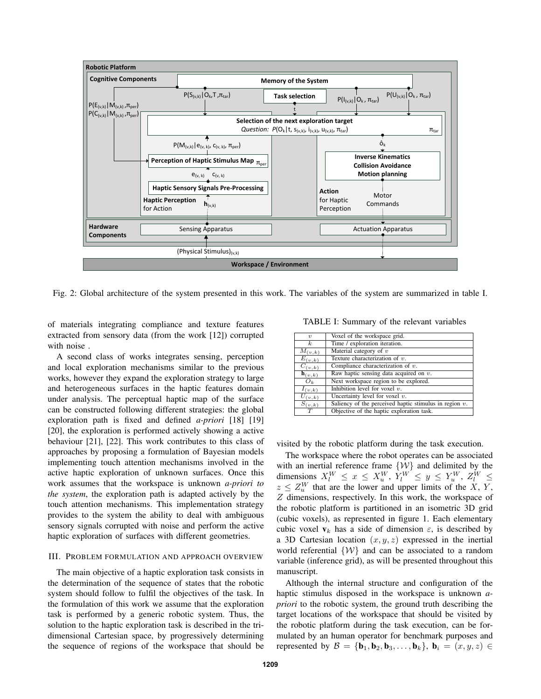

Fig. 2: Global architecture of the system presented in this work. The variables of the system are summarized in table I.

of materials integrating compliance and texture features extracted from sensory data (from the work [12]) corrupted with noise .

A second class of works integrates sensing, perception and local exploration mechanisms similar to the previous works, however they expand the exploration strategy to large and heterogeneous surfaces in the haptic features domain under analysis. The perceptual haptic map of the surface can be constructed following different strategies: the global exploration path is fixed and defined *a-priori* [18] [19] [20], the exploration is performed actively showing a active behaviour [21], [22]. This work contributes to this class of approaches by proposing a formulation of Bayesian models implementing touch attention mechanisms involved in the active haptic exploration of unknown surfaces. Once this work assumes that the workspace is unknown *a-priori to the system*, the exploration path is adapted actively by the touch attention mechanisms. This implementation strategy provides to the system the ability to deal with ambiguous sensory signals corrupted with noise and perform the active haptic exploration of surfaces with different geometries.

### III. PROBLEM FORMULATION AND APPROACH OVERVIEW

The main objective of a haptic exploration task consists in the determination of the sequence of states that the robotic system should follow to fulfil the objectives of the task. In the formulation of this work we assume that the exploration task is performed by a generic robotic system. Thus, the solution to the haptic exploration task is described in the tridimensional Cartesian space, by progressively determining the sequence of regions of the workspace that should be

|  | TABLE I: Summary of the relevant variables |  |  |  |
|--|--------------------------------------------|--|--|--|
|--|--------------------------------------------|--|--|--|

| $\eta$                             | Voxel of the workspace grid.                              |
|------------------------------------|-----------------------------------------------------------|
| $\kappa$                           | Time / exploration iteration.                             |
| $M_{(v,k)}$                        | Material category of $v$                                  |
| $\overline{E}_{(v,k)}$             | Texture characterization of $v$ .                         |
| $\overline{C}_{(\underline{v},k)}$ | Compliance characterization of $v$ .                      |
| $\mathbf{h}_{(v,k)}$               | Raw haptic sensing data acquired on $v$ .                 |
| $O_k$                              | Next workspace region to be explored.                     |
| $I_{(v,k)}$                        | Inhibition level for voxel $v$ .                          |
| $U_{(v,k)}$                        | Uncertainty level for voxel $v$ .                         |
| $S_{(v,k)}$                        | Saliency of the perceived haptic stimulus in region $v$ . |
| $\overline{T}$                     | Objective of the haptic exploration task.                 |

visited by the robotic platform during the task execution.

The workspace where the robot operates can be associated with an inertial reference frame  $\{W\}$  and delimited by the dimensions  $X_l^W \le x \le X_u^W$ ,  $Y_l^W \le y \le Y_u^W$ ,  $Z_l^W \le$  $z \leq Z_u^W$  that are the lower and upper limits of the X, Y, Z dimensions, respectively. In this work, the workspace of the robotic platform is partitioned in an isometric 3D grid (cubic voxels), as represented in figure 1. Each elementary cubic voxel  $v_k$  has a side of dimension  $\varepsilon$ , is described by a 3D Cartesian location  $(x, y, z)$  expressed in the inertial world referential  $\{W\}$  and can be associated to a random variable (inference grid), as will be presented throughout this manuscript.

Although the internal structure and configuration of the haptic stimulus disposed in the workspace is unknown *apriori* to the robotic system, the ground truth describing the target locations of the workspace that should be visited by the robotic platform during the task execution, can be formulated by an human operator for benchmark purposes and represented by  $\mathcal{B} = {\mathbf{b}_1, \mathbf{b}_2, \mathbf{b}_3, \ldots, \mathbf{b}_k}$ ,  $\mathbf{b}_i = (x, y, z) \in$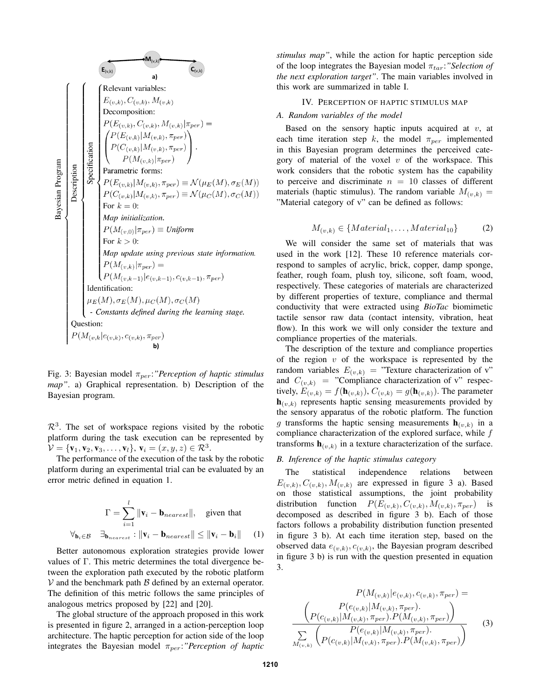**M**<sub>(v,k)</sub>  
\na)  
\na)  
\na)  
\nb)  
\na)  
\nb)  
\na)  
\nb)  
\n
$$
E_{(v,k)}
$$
  
\n
$$
E_{(v,k)}
$$
,  $C_{(v,k)}$ ,  $M_{(v,k)}$   
\nDecomposition:  
\n
$$
P(E_{(v,k)}, C_{(v,k)}, M_{(v,k)} | \pi_{per}) =
$$
  
\n
$$
P(E_{(v,k)} | M_{(v,k)}, \pi_{per})
$$
  
\n
$$
P(M_{(v,k)} | \pi_{per})
$$
  
\n
$$
P(M_{(v,k)} | \pi_{per})
$$
  
\n
$$
P(M_{(v,k)} | \pi_{per})
$$
  
\n
$$
P(C_{(v,k)} | M_{(v,k)}, \pi_{per}) \equiv \mathcal{N}(\mu_E(M), \sigma_E(M))
$$
  
\nFor  $k = 0$ :  
\nMap initialization.  
\n
$$
P(M_{(v,0)} | \pi_{per}) \equiv \text{Uniform}
$$
  
\nFor  $k > 0$ :  
\nMap update using previous state information.  
\n
$$
P(M_{(v,k)} | \pi_{per}) =
$$
  
\n
$$
P(M_{(v,k)} | \pi_{per}) =
$$
  
\n
$$
P(M_{(v,k)} | \pi_{per}) =
$$
  
\n
$$
P(M_{(v,k)} | \pi_{per}) =
$$
  
\n
$$
P(M_{(v,k-1)} | e_{(v,k-1)}, c_{(v,k-1)}, \pi_{per})
$$
  
\n
$$
E(M), \sigma_E(M), \mu_C(M), \sigma_C(M)
$$
  
\n
$$
-
$$
Constraints defined during the learning stage.  
\nQuestion:  
\n
$$
P(M_{(v,k} | e_{(v,k)}, c_{(v,k)}, \pi_{per})
$$
  
\nb)

Fig. 3: Bayesian model πper:*"Perception of haptic stimulus map"*. a) Graphical representation. b) Description of the Bayesian program.

 $\mathcal{R}^3$ . The set of workspace regions visited by the robotic platform during the task execution can be represented by  $\mathcal{V} = {\mathbf{v}_1, \mathbf{v}_2, \mathbf{v}_3, \dots, \mathbf{v}_l}$ ,  $\mathbf{v}_i = (x, y, z) \in \mathcal{R}^3$ .

The performance of the execution of the task by the robotic platform during an experimental trial can be evaluated by an error metric defined in equation 1.

$$
\Gamma = \sum_{i=1}^{l} \|\mathbf{v}_i - \mathbf{b}_{nearest}\|, \text{ given that}
$$

$$
\forall_{\mathbf{b}_i \in \mathcal{B}} \quad \exists_{\mathbf{b}_{nearest}} : \|\mathbf{v}_i - \mathbf{b}_{nearest}\| \le \|\mathbf{v}_i - \mathbf{b}_i\| \quad (1)
$$

Better autonomous exploration strategies provide lower values of Γ. This metric determines the total divergence between the exploration path executed by the robotic platform  $V$  and the benchmark path  $B$  defined by an external operator. The definition of this metric follows the same principles of analogous metrics proposed by [22] and [20].

The global structure of the approach proposed in this work is presented in figure 2, arranged in a action-perception loop architecture. The haptic perception for action side of the loop integrates the Bayesian model  $\pi_{per}$ :"Perception of haptic *stimulus map"*, while the action for haptic perception side of the loop integrates the Bayesian model  $\pi_{tar}$ *: "Selection of the next exploration target"*. The main variables involved in this work are summarized in table I.

### IV. PERCEPTION OF HAPTIC STIMULUS MAP

### *A. Random variables of the model*

Based on the sensory haptic inputs acquired at  $v$ , at each time iteration step k, the model  $\pi_{per}$  implemented in this Bayesian program determines the perceived category of material of the voxel  $v$  of the workspace. This work considers that the robotic system has the capability to perceive and discriminate  $n = 10$  classes of different materials (haptic stimulus). The random variable  $M_{(v,k)} =$ "Material category of v" can be defined as follows:

$$
M_{(v,k)} \in \{Material_1, \dots, Material_{10}\}
$$
 (2)

We will consider the same set of materials that was used in the work [12]. These 10 reference materials correspond to samples of acrylic, brick, copper, damp sponge, feather, rough foam, plush toy, silicone, soft foam, wood, respectively. These categories of materials are characterized by different properties of texture, compliance and thermal conductivity that were extracted using *BioTac* biomimetic tactile sensor raw data (contact intensity, vibration, heat flow). In this work we will only consider the texture and compliance properties of the materials.

The description of the texture and compliance properties of the region  $v$  of the workspace is represented by the random variables  $E_{(v,k)} =$  "Texture characterization of v" and  $C_{(v,k)}$  = "Compliance characterization of v" respectively,  $E_{(v,k)} = f(\mathbf{h}_{(v,k)})$ ,  $C_{(v,k)} = g(\mathbf{h}_{(v,k)})$ . The parameter  $\mathbf{h}_{(v,k)}$  represents haptic sensing measurements provided by the sensory apparatus of the robotic platform. The function g transforms the haptic sensing measurements  $\mathbf{h}_{(v,k)}$  in a compliance characterization of the explored surface, while  $f$ transforms  $\mathbf{h}_{(v,k)}$  in a texture characterization of the surface.

### *B. Inference of the haptic stimulus category*

The statistical independence relations between  $E_{(v,k)}, C_{(v,k)}, M_{(v,k)}$  are expressed in figure 3 a). Based on those statistical assumptions, the joint probability distribution function  $P(E_{(v,k)}, C_{(v,k)}, M_{(v,k)}, \pi_{per})$  is decomposed as described in figure 3 b). Each of those factors follows a probability distribution function presented in figure 3 b). At each time iteration step, based on the observed data  $e_{(v,k)}, c_{(v,k)}$ , the Bayesian program described in figure 3 b) is run with the question presented in equation 3.

$$
P(M_{(v,k)})e_{(v,k)}, c_{(v,k)}, \pi_{per}) =
$$
\n
$$
\frac{P(e_{(v,k)})M_{(v,k)}, \pi_{per}).}{P(e_{(v,k)}|M_{(v,k)}, \pi_{per}).P(M_{(v,k)}, \pi_{per})}
$$
\n
$$
\frac{\sum_{M_{(v,k)}} \left(P(e_{(v,k)}|M_{(v,k)}, \pi_{per}).}{P(M_{(v,k)}, \pi_{per}).P(M_{(v,k)}, \pi_{per})\right)}{P(e_{(v,k)}|M_{(v,k)}, \pi_{per}).P(M_{(v,k)}, \pi_{per})}
$$
\n(3)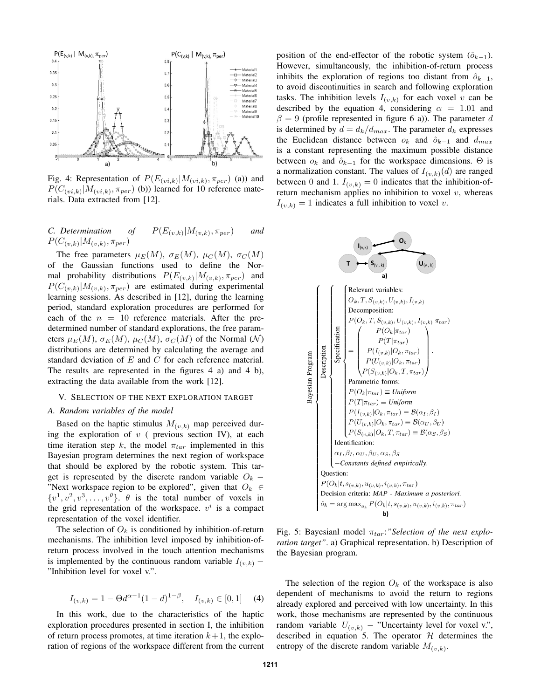

Fig. 4: Representation of  $P(E_{(vi,k)} | M_{(vi,k)}, \pi_{per})$  (a)) and  $P(C_{(vi,k)} | M_{(vi,k)}, \pi_{per})$  (b)) learned for 10 reference materials. Data extracted from [12].

#### *C. Determination of*  $|M_{(v,k)}, \pi_{per}|$  *and*  $P(C_{(v,k)}|M_{(v,k)}, \pi_{per})$

The free parameters  $\mu_E(M)$ ,  $\sigma_E(M)$ ,  $\mu_C(M)$ ,  $\sigma_C(M)$ of the Gaussian functions used to define the Normal probability distributions  $P(E_{(v,k)}|M_{(v,k)}, \pi_{per})$  and  $P(C_{(v,k)}|M_{(v,k)}, \pi_{per})$  are estimated during experimental learning sessions. As described in [12], during the learning period, standard exploration procedures are performed for each of the  $n = 10$  reference materials. After the predetermined number of standard explorations, the free parameters  $\mu_E(M)$ ,  $\sigma_E(M)$ ,  $\mu_C(M)$ ,  $\sigma_C(M)$  of the Normal (N) distributions are determined by calculating the average and standard deviation of E and C for each reference material. The results are represented in the figures 4 a) and 4 b), extracting the data available from the work [12].

# V. SELECTION OF THE NEXT EXPLORATION TARGET

### *A. Random variables of the model*

Based on the haptic stimulus  $M_{(v,k)}$  map perceived during the exploration of  $v$  ( previous section IV), at each time iteration step k, the model  $\pi_{tar}$  implemented in this Bayesian program determines the next region of workspace that should be explored by the robotic system. This target is represented by the discrete random variable  $O_k$  – "Next workspace region to be explored", given that  $O_k \in$  $\{v^1, v^2, v^3, \ldots, v^{\theta}\}\$ .  $\theta$  is the total number of voxels in the grid representation of the workspace.  $v^i$  is a compact representation of the voxel identifier.

The selection of  $O_k$  is conditioned by inhibition-of-return mechanisms. The inhibition level imposed by inhibition-ofreturn process involved in the touch attention mechanisms is implemented by the continuous random variable  $I_{(v,k)}$  – "Inhibition level for voxel v.".

$$
I_{(v,k)} = 1 - \Theta d^{\alpha - 1} (1 - d)^{1 - \beta}, \quad I_{(v,k)} \in [0,1] \quad (4)
$$

In this work, due to the characteristics of the haptic exploration procedures presented in section I, the inhibition of return process promotes, at time iteration  $k+1$ , the exploration of regions of the workspace different from the current position of the end-effector of the robotic system  $(\hat{o}_{k-1})$ . However, simultaneously, the inhibition-of-return process inhibits the exploration of regions too distant from  $\hat{o}_{k-1}$ , to avoid discontinuities in search and following exploration tasks. The inhibition levels  $I_{(v,k)}$  for each voxel v can be described by the equation 4, considering  $\alpha = 1.01$  and  $\beta = 9$  (profile represented in figure 6 a)). The parameter d is determined by  $d = d_k/d_{max}$ . The parameter  $d_k$  expresses the Euclidean distance between  $o_k$  and  $\hat{o}_{k-1}$  and  $d_{max}$ is a constant representing the maximum possible distance between  $o_k$  and  $\hat{o}_{k-1}$  for the workspace dimensions.  $\Theta$  is a normalization constant. The values of  $I_{(v,k)}(d)$  are ranged between 0 and 1.  $I_{(v,k)} = 0$  indicates that the inhibition-ofreturn mechanism applies no inhibition to voxel  $v$ , whereas  $I_{(v,k)} = 1$  indicates a full inhibition to voxel v.



Fig. 5: Bayesianl model π<sub>tar</sub>:"Selection of the next explo*ration target"*. a) Graphical representation. b) Description of the Bayesian program.

The selection of the region  $O_k$  of the workspace is also dependent of mechanisms to avoid the return to regions already explored and perceived with low uncertainty. In this work, those mechanisms are represented by the continuous random variable  $U_{(v,k)}$  – "Uncertainty level for voxel v.", described in equation 5. The operator  $H$  determines the entropy of the discrete random variable  $M_{(v,k)}$ .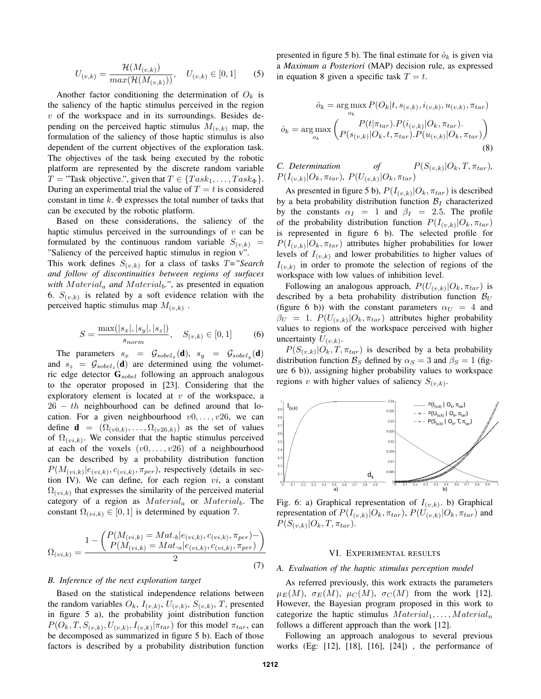$$
U_{(v,k)} = \frac{\mathcal{H}(M_{(v,k)})}{\max(\mathcal{H}(M_{(v,k)}))}, \quad U_{(v,k)} \in [0,1]
$$
 (5)

Another factor conditioning the determination of  $O_k$  is the saliency of the haptic stimulus perceived in the region  $v$  of the workspace and in its surroundings. Besides depending on the perceived haptic stimulus  $M_{(v,k)}$  map, the formulation of the saliency of those haptic stimulus is also dependent of the current objectives of the exploration task. The objectives of the task being executed by the robotic platform are represented by the discrete random variable  $T = "Task objective."$ , given that  $T \in \{Task_1, \ldots, Task_{\Phi}\}.$ During an experimental trial the value of  $T = t$  is considered constant in time  $k$ .  $\Phi$  expresses the total number of tasks that can be executed by the robotic platform.

Based on these considerations, the saliency of the haptic stimulus perceived in the surroundings of  $v$  can be formulated by the continuous random variable  $S_{(v,k)}$  = "Saliency of the perceived haptic stimulus in region v". This work defines  $S_{(v,k)}$  for a class of tasks  $T =$ "Search" *and follow of discontinuities between regions of surfaces*

*with*  $Material_a$  *and*  $Material_b$ *."*, as presented in equation 6.  $S_{(v,k)}$  is related by a soft evidence relation with the perceived haptic stimulus map  $M_{(v,k)}$ .

$$
S = \frac{\max(|s_x|, |s_y|, |s_z|)}{s_{norm}}, \quad S_{(v,k)} \in [0, 1]
$$
 (6)

The parameters  $s_x = \mathcal{G}_{sobel_x}(\mathbf{d}), s_y = \mathcal{G}_{sobel_y}(\mathbf{d})$ and  $s_z = \mathcal{G}_{sobel_z}(\mathbf{d})$  are determined using the volumetric edge detector  $\mathbf{G}_{sobel}$  following an approach analogous to the operator proposed in [23]. Considering that the exploratory element is located at  $v$  of the workspace, a  $26 - th$  neighbourhood can be defined around that location. For a given neighbourhood  $v0, \ldots, v26$ , we can define  $\mathbf{d} = (\Omega_{(v0,k)}, \dots, \Omega_{(v26,k)})$  as the set of values of  $\Omega(v_i, k)$ . We consider that the haptic stimulus perceived at each of the voxels  $(v0, \ldots, v26)$  of a neighbourhood can be described by a probability distribution function  $P(M_{(vi,k)}|e_{(vi,k)}, c_{(vi,k)}, \pi_{per})$ , respectively (details in section IV). We can define, for each region  $vi$ , a constant  $\Omega_{(vi,k)}$  that expresses the similarity of the perceived material category of a region as  $Material_a$  or  $Material_b$ . The constant  $\Omega_{(vi,k)} \in [0,1]$  is determined by equation 7.

$$
\Omega_{(vi,k)} = \frac{1 - \left(\frac{P(M_{(vi,k)} = Mat_{\cdot b}|e_{(vi,k)}, c_{(vi,k)}, \pi_{per}) - P(M_{(vi,k)} = Mat_{\cdot a}|e_{(vi,k)}, c_{(vi,k)}, \pi_{per})\right)}{2}
$$
\n(7)

### *B. Inference of the next exploration target*

Based on the statistical independence relations between the random variables  $O_k$ ,  $I_{(v,k)}$ ,  $U_{(v,k)}$ ,  $S_{(v,k)}$ , T, presented in figure 5 a), the probability joint distribution function  $P(O_k, T, S_{(v,k)}, U_{(v,k)}, I_{(v,k)} | \pi_{tar})$  for this model  $\pi_{tar}$ , can be decomposed as summarized in figure 5 b). Each of those factors is described by a probability distribution function presented in figure 5 b). The final estimate for  $\hat{o}_k$  is given via a *Maximum a Posteriori* (MAP) decision rule, as expressed in equation 8 given a specific task  $T = t$ .

$$
\hat{o}_k = \arg \max_{o_k} P(O_k | t, s_{(v,k)}, i_{(v,k)}, u_{(v,k)}, \pi_{tar})
$$

$$
\hat{o}_k = \arg \max_{o_k} \left( P(t | \pi_{tar}) . P(i_{(v,k)} | O_k, \pi_{tar}).
$$

$$
P(u_{(v,k)} | O_k, t, \pi_{tar}) . P(u_{(v,k)} | O_k, \pi_{tar}) \right)
$$
(8)

*C. Determination of*  $P(S_{(v,k)}|O_k, T, \pi_{tar})$  $P(I_{(v,k)}|O_k, \pi_{tar})$ ,  $P(U_{(v,k)}|O_k, \pi_{tar})$ 

As presented in figure 5 b),  $P(I_{(v,k)}|O_k, \pi_{tar})$  is described by a beta probability distribution function  $\mathcal{B}_I$  characterized by the constants  $\alpha_I = 1$  and  $\beta_I = 2.5$ . The profile of the probability distribution function  $P(I_{(v,k)}|O_k, \pi_{tar})$ is represented in figure 6 b). The selected profile for  $P(I_{(v,k)}|O_k, \pi_{tar})$  attributes higher probabilities for lower levels of  $I_{(v,k)}$  and lower probabilities to higher values of  $I_{(v,k)}$  in order to promote the selection of regions of the workspace with low values of inhibition level.

Following an analogous approach,  $P(U_{(v,k)}|O_k, \pi_{tar})$  is described by a beta probability distribution function  $\mathcal{B}_{U}$ (figure 6 b)) with the constant parameters  $\alpha_U = 4$  and  $\beta_U = 1$ .  $P(U_{(v,k)} | O_k, \pi_{tar})$  attributes higher probability values to regions of the workspace perceived with higher uncertainty  $U_{(v,k)}$ .

 $P(S_{(v,k)}|O_k,T,\pi_{tar})$  is described by a beta probability distribution function  $\mathcal{B}_S$  defined by  $\alpha_S = 3$  and  $\beta_S = 1$  (figure 6 b)), assigning higher probability values to workspace regions v with higher values of saliency  $S_{(v,k)}$ .



Fig. 6: a) Graphical representation of  $I_{(v,k)}$ . b) Graphical representation of  $P(I_{(v,k)}|O_k, \pi_{tar})$ ,  $P(U_{(v,k)}|O_k, \pi_{tar})$  and  $P(S_{(v,k)}|O_k, T, \pi_{tar}).$ 

# VI. EXPERIMENTAL RESULTS

### *A. Evaluation of the haptic stimulus perception model*

As referred previously, this work extracts the parameters  $\mu_E(M)$ ,  $\sigma_E(M)$ ,  $\mu_C(M)$ ,  $\sigma_C(M)$  from the work [12]. However, the Bayesian program proposed in this work to categorize the haptic stimulus  $Material_1, \ldots, Material_n$ follows a different approach than the work [12].

Following an approach analogous to several previous works (Eg: [12], [18], [16], [24]) , the performance of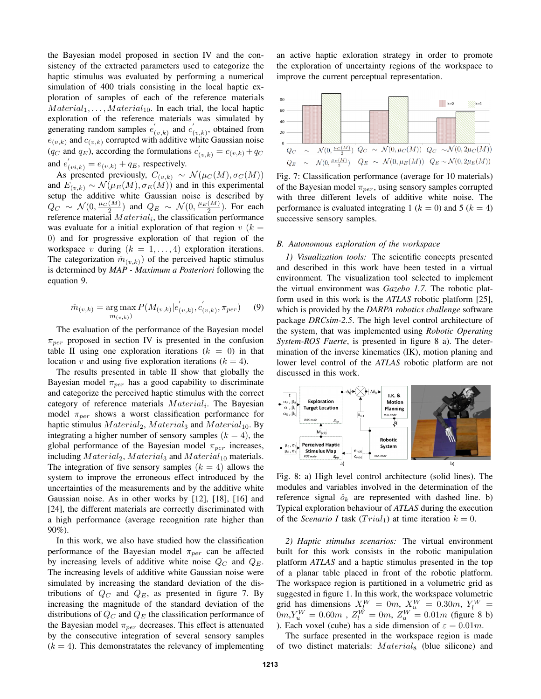the Bayesian model proposed in section IV and the consistency of the extracted parameters used to categorize the haptic stimulus was evaluated by performing a numerical simulation of 400 trials consisting in the local haptic exploration of samples of each of the reference materials  $Material_1, \ldots, Material_{10}$ . In each trial, the local haptic exploration of the reference materials was simulated by generating random samples  $e'$  $C_{(v,k)}$  and  $C_{(v,k)}'$  $(v,k)$ , obtained from  $e_{(v,k)}$  and  $c_{(v,k)}$  corrupted with additive white Gaussian noise  $(q_C \text{ and } q_E)$ , according the formulations  $c'_{(v,k)} = c_{(v,k)} + q_C$ and  $e'_{(vi,k)} = e_{(v,k)} + q_E$ , respectively.

As presented previously,  $C_{(v,k)} \sim \mathcal{N}(\mu_C(M), \sigma_C(M))$ and  $E_{(v,k)} \sim \mathcal{N}(\mu_E(M), \sigma_E(M))$  and in this experimental setup the additive white Gaussian noise is described by  $Q_C \sim \mathcal{N}(0, \frac{\mu_C(M)}{2})$  and  $Q_E \sim \mathcal{N}(0, \frac{\mu_E(M)}{2})$ . For each reference material  $Material_i$ , the classification performance was evaluate for a initial exploration of that region  $v(k)$ 0) and for progressive exploration of that region of the workspace v during  $(k = 1, \ldots, 4)$  exploration iterations. The categorization  $\hat{m}_{(v,k)}$  of the perceived haptic stimulus is determined by *MAP - Maximum a Posteriori* following the equation 9.

$$
\hat{m}_{(v,k)} = \underset{m_{(v,k)}}{\arg \max} P(M_{(v,k)}|e'_{(v,k)}, c'_{(v,k)}, \pi_{per}) \quad (9)
$$

The evaluation of the performance of the Bayesian model  $\pi_{per}$  proposed in section IV is presented in the confusion table II using one exploration iterations  $(k = 0)$  in that location v and using five exploration iterations  $(k = 4)$ .

The results presented in table II show that globally the Bayesian model  $\pi_{per}$  has a good capability to discriminate and categorize the perceived haptic stimulus with the correct category of reference materials  $Material_i$ . The Bayesian model  $\pi_{per}$  shows a worst classification performance for haptic stimulus  $Material_2$ ,  $Material_3$  and  $Material_{10}$ . By integrating a higher number of sensory samples  $(k = 4)$ , the global performance of the Bayesian model  $\pi_{per}$  increases, including  $Material_2$ ,  $Material_3$  and  $Material_{10}$  materials. The integration of five sensory samples  $(k = 4)$  allows the system to improve the erroneous effect introduced by the uncertainties of the measurements and by the additive white Gaussian noise. As in other works by [12], [18], [16] and [24], the different materials are correctly discriminated with a high performance (average recognition rate higher than 90%).

In this work, we also have studied how the classification performance of the Bayesian model  $\pi_{per}$  can be affected by increasing levels of additive white noise  $Q_C$  and  $Q_E$ . The increasing levels of additive white Gaussian noise were simulated by increasing the standard deviation of the distributions of  $Q_C$  and  $Q_E$ , as presented in figure 7. By increasing the magnitude of the standard deviation of the distributions of  $Q_C$  and  $Q_E$  the classification performance of the Bayesian model  $\pi_{per}$  decreases. This effect is attenuated by the consecutive integration of several sensory samples  $(k = 4)$ . This demonstratates the relevancy of implementing

an active haptic exloration strategy in order to promote the exploration of uncertainty regions of the workspace to improve the current perceptual representation.



Fig. 7: Classification performance (average for 10 materials) of the Bayesian model  $\pi_{per}$ , using sensory samples corrupted with three different levels of additive white noise. The performance is evaluated integrating 1 ( $k = 0$ ) and 5 ( $k = 4$ ) successive sensory samples.

#### *B. Autonomous exploration of the workspace*

*1) Visualization tools:* The scientific concepts presented and described in this work have been tested in a virtual environment. The visualization tool selected to implement the virtual environment was *Gazebo 1.7*. The robotic platform used in this work is the *ATLAS* robotic platform [25], which is provided by the *DARPA robotics challenge* software package *DRCsim-2.5*. The high level control architecture of the system, that was implemented using *Robotic Operating System-ROS Fuerte*, is presented in figure 8 a). The determination of the inverse kinematics (IK), motion planing and lower level control of the *ATLAS* robotic platform are not discussed in this work.



Fig. 8: a) High level control architecture (solid lines). The modules and variables involved in the determination of the reference signal  $\hat{o}_k$  are represented with dashed line. b) Typical exploration behaviour of *ATLAS* during the execution of the *Scenario I* task  $(Trial_1)$  at time iteration  $k = 0$ .

*2) Haptic stimulus scenarios:* The virtual environment built for this work consists in the robotic manipulation platform *ATLAS* and a haptic stimulus presented in the top of a planar table placed in front of the robotic platform. The workspace region is partitioned in a volumetric grid as suggested in figure 1. In this work, the workspace volumetric grid has dimensions  $X_l^W = 0m$ ,  $X_u^W = 0.30m$ ,  $Y_l^W =$  $0m$ , $Y_u^W = 0.60m$  ,  $Z_u^W = 0m$ ,  $Z_u^W = 0.01m$  (figure 8 b) ). Each voxel (cube) has a side dimension of  $\varepsilon = 0.01m$ .

The surface presented in the workspace region is made of two distinct materials:  $Material_8$  (blue silicone) and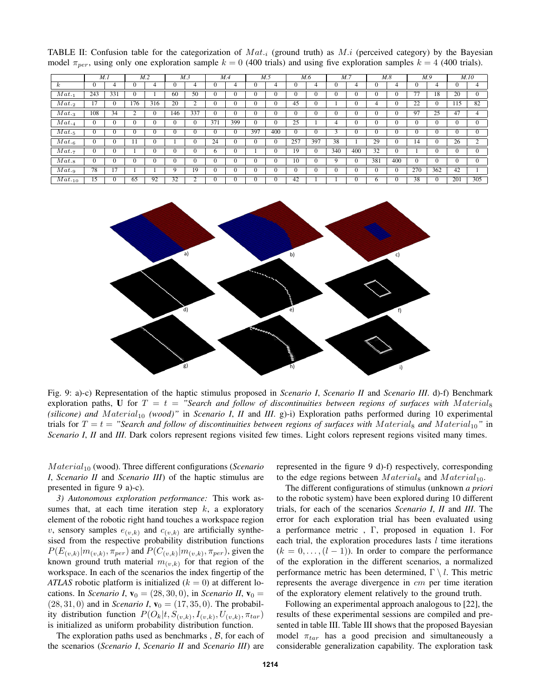TABLE II: Confusion table for the categorization of  $Mat_{i}$  (ground truth) as  $M.i$  (perceived category) by the Bayesian model  $\pi_{per}$ , using only one exploration sample  $k = 0$  (400 trials) and using five exploration samples  $k = 4$  (400 trials).

|                     |                | M.1 |                  | M.2 | M.3          |              |                 | M.4          |     | M.5          |     | M.6          | M.7 |              |              | M.8 | M.9              |              |                  | M.10 |
|---------------------|----------------|-----|------------------|-----|--------------|--------------|-----------------|--------------|-----|--------------|-----|--------------|-----|--------------|--------------|-----|------------------|--------------|------------------|------|
| k                   | $\mathbf{0}$   | 4   | $\boldsymbol{0}$ | 4   |              | 4            | $\mathbf{0}$    | 4            |     | 4            |     | 4            |     | 4            | $\theta$     | 4   | $\mathbf{0}$     | 4            |                  |      |
| Mat.1               | 243            | 331 | $\boldsymbol{0}$ |     | 60           | 50           | $\mathbf{0}$    | $\mathbf{0}$ |     | $\theta$     |     |              |     | $\mathbf{0}$ | $\Omega$     |     | 77               | 18           | 20               | v    |
| Mat.2               |                | v   | 176              | 316 | 20           |              | $\theta$        | $\mathbf{0}$ |     | 0            | 45  | υ            |     | 0            | 4            | 0   | $\overline{22}$  | $\mathbf{0}$ | $\overline{115}$ | 82   |
| $Mat._3$            | 108            | 34  | $\overline{2}$   | 0   | 146          | 337          | $\mathbf{0}$    | $\theta$     |     | $\mathbf{0}$ |     |              | v   | $\mathbf{0}$ | $\theta$     |     | 97               | 25           | 47               |      |
| Mat.4               | $\mathbf{0}$   |     | $\boldsymbol{0}$ | 0   | $\mathbf{0}$ | $\mathbf{0}$ | 371             | 399          |     | $\mathbf{0}$ | 25  |              | 4   | $\mathbf{0}$ | $\mathbf{0}$ |     | $\mathbf{0}$     |              | $\mathbf{0}$     | v    |
| $\overline{Mat}._5$ | $\theta$       | v   | 0                | 0   | $\mathbf{0}$ | v            | $\mathbf{0}$    | $\mathbf{0}$ | 397 | 400          | 0   | $\mathbf{0}$ |     | $\theta$     | 0            |     | $\mathbf{0}$     |              | $\mathbf{0}$     | v    |
| $Mat._6$            | $\overline{0}$ | v   | 11               | 0   |              | v            | $\overline{24}$ | $\mathbf{0}$ |     | $\mathbf{0}$ | 257 | 397          | 38  |              | 29           | 0   | 14               |              | 26               |      |
| Mat.7               | $\mathbf{0}$   |     |                  |     |              |              | 6               | v            |     | 0            | 19  | $\Omega$     | 340 | 400          | 32           |     |                  |              |                  |      |
| $Mat._8$            | $\mathbf{0}$   |     | $\boldsymbol{0}$ | 0   |              | v            | $\theta$        | $\Omega$     |     | $\mathbf{0}$ | 10  |              | 9   | $\mathbf{0}$ | 381          | 400 | $\mathbf{0}$     |              |                  |      |
| Mat.g.              | 78             | 17  |                  |     |              | 19           | $\mathbf{0}$    | $\mathbf{0}$ |     | $\mathbf{0}$ | U   | $\mathbf{0}$ | v   | $\mathbf{0}$ | $\mathbf{0}$ | 0   | $\overline{270}$ | 362          | 42               |      |
| $Mat._{10}$         | 15             | v   | 65               | 92  | 32           |              | $\theta$        | v            |     | O            | 42  |              |     | $\theta$     | $\sigma$     |     | 38               | $\mathbf{0}$ | 201              | 305  |



Fig. 9: a)-c) Representation of the haptic stimulus proposed in *Scenario I*, *Scenario II* and *Scenario III*. d)-f) Benchmark exploration paths, U for  $T = t =$  "Search and follow of discontinuities between regions of surfaces with Material<sub>8</sub> *(silicone) and Material<sub>10</sub> (wood)"* in *Scenario I, II* and *III*. g)-i) Exploration paths performed during 10 experimental trials for  $T = t =$  "Search and follow of discontinuities between regions of surfaces with Material<sub>8</sub> and Material<sub>10</sub>" in *Scenario I, II* and *III*. Dark colors represent regions visited few times. Light colors represent regions visited many times.

Material<sub>10</sub> (wood). Three different configurations (*Scenario I*, *Scenario II* and *Scenario III*) of the haptic stimulus are presented in figure 9 a)-c).

*3) Autonomous exploration performance:* This work assumes that, at each time iteration step  $k$ , a exploratory element of the robotic right hand touches a workspace region v, sensory samples  $e_{(v,k)}$  and  $c_{(v,k)}$  are artificially synthesised from the respective probability distribution functions  $P(E_{(v,k)}|m_{(v,k)}, \pi_{per})$  and  $P(C_{(v,k)}|m_{(v,k)}, \pi_{per})$ , given the known ground truth material  $m_{(v,k)}$  for that region of the workspace. In each of the scenarios the index fingertip of the *ATLAS* robotic platform is initialized  $(k = 0)$  at different locations. In *Scenario I*,  $\mathbf{v}_0 = (28, 30, 0)$ , in *Scenario II*,  $\mathbf{v}_0 =$  $(28, 31, 0)$  and in *Scenario I*,  $v_0 = (17, 35, 0)$ . The probability distribution function  $P(O_k|t, S_{(v,k)}, I_{(v,k)}, U_{(v,k)}, \pi_{tar})$ is initialized as uniform probability distribution function.

The exploration paths used as benchmarks,  $\beta$ , for each of the scenarios (*Scenario I*, *Scenario II* and *Scenario III*) are represented in the figure 9 d)-f) respectively, corresponding to the edge regions between  $Materials$  and  $Material_{10}$ .

The different configurations of stimulus (unknown *a priori* to the robotic system) have been explored during 10 different trials, for each of the scenarios *Scenario I*, *II* and *III*. The error for each exploration trial has been evaluated using a performance metric , Γ, proposed in equation 1. For each trial, the exploration procedures lasts  $l$  time iterations  $(k = 0, \ldots, (l-1))$ . In order to compare the performance of the exploration in the different scenarios, a normalized performance metric has been determined,  $\Gamma \setminus l$ . This metric represents the average divergence in cm per time iteration of the exploratory element relatively to the ground truth.

Following an experimental approach analogous to [22], the results of these experimental sessions are compiled and presented in table III. Table III shows that the proposed Bayesian model  $\pi_{tar}$  has a good precision and simultaneously a considerable generalization capability. The exploration task